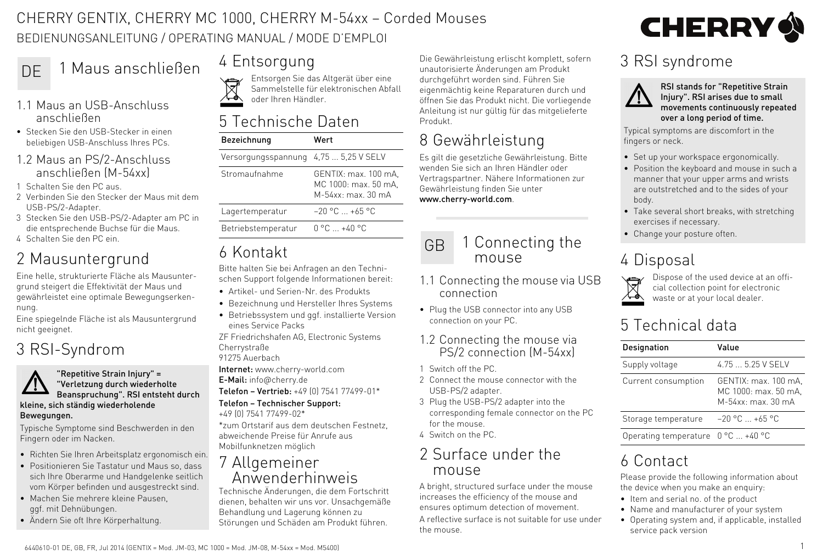#### CHERRY GENTIX, CHERRY MC 1000, CHERRY M-54xx – Corded Mouses BEDIENUNGSANLEITUNG / OPERATING MANUAL / MODE D'EMPLOI

# DE 1 Maus anschließen 4 Entsorgung

- 1.1 Maus an USB-Anschluss anschließen
- Stecken Sie den USB-Stecker in einen beliebigen USB-Anschluss Ihres PCs.

#### 1.2 Maus an PS/2-Anschluss anschließen (M-54xx)

- 1 Schalten Sie den PC aus.
- 2 Verbinden Sie den Stecker der Maus mit dem USB-PS/2-Adapter.
- 3 Stecken Sie den USB-PS/2-Adapter am PC in die entsprechende Buchse für die Maus.
- 4 Schalten Sie den PC ein.

# 2 Mausuntergrund

Eine helle, strukturierte Fläche als Mausuntergrund steigert die Effektivität der Maus und gewährleistet eine optimale Bewegungserkennung.

Eine spiegelnde Fläche ist als Mausuntergrund nicht geeignet.

# 3 RSI-Syndrom

#### "Repetitive Strain Injury" = "Verletzung durch wiederholte Beanspruchung". RSI entsteht durch kleine, sich ständig wiederholende Bewegungen.

Typische Symptome sind Beschwerden in den Fingern oder im Nacken.

- Richten Sie Ihren Arbeitsplatz ergonomisch ein.
- Positionieren Sie Tastatur und Maus so, dass sich Ihre Oberarme und Handgelenke seitlich vom Körper befinden und ausgestreckt sind.
- Machen Sie mehrere kleine Pausen, ggf. mit Dehnübungen.
- Ändern Sie oft Ihre Körperhaltung.

Entsorgen Sie das Altgerät über eine Sammelstelle für elektronischen Abfall oder Ihren Händler.

### 5 Technische Daten

| Bezeichnung         | Wert                                                                   |
|---------------------|------------------------------------------------------------------------|
| Versorgungsspannung | 4.75  5.25 V SELV                                                      |
| Stromaufnahme       | GENTIX: max. 100 mA.<br>MC 1000: max. 50 mA,<br>$M - 54$ xx; max 30 mA |
| Lagertemperatur     | $-20$ °C $ +65$ °C                                                     |
| Betriebstemperatur  | $0^{\circ}$ $0^{\circ}$ $+40^{\circ}$ $0^{\circ}$                      |
|                     |                                                                        |

## 6 Kontakt

Bitte halten Sie bei Anfragen an den Technischen Support folgende Informationen bereit:

- Artikel- und Serien-Nr. des Produkts
- Bezeichnung und Hersteller Ihres Systems
- Betriebssystem und ggf. installierte Version eines Service Packs

ZF Friedrichshafen AG, Electronic Systems Cherrystraße 91275 Auerbach

Internet: www.cherry-world.com

E-Mail: info@cherry.de

Telefon – Vertrieb: +49 (0) 7541 77499-01\*

#### Telefon – Technischer Support:

+49 (0) 7541 77499-02\* \*zum Ortstarif aus dem deutschen Festnetz, abweichende Preise für Anrufe aus Mobilfunknetzen möglich

#### 7 Allgemeiner Anwenderhinweis

Technische Änderungen, die dem Fortschritt dienen, behalten wir uns vor. Unsachgemäße Behandlung und Lagerung können zu Störungen und Schäden am Produkt führen.

Die Gewährleistung erlischt komplett, sofern unautorisierte Änderungen am Produkt durchgeführt worden sind. Führen Sie eigenmächtig keine Reparaturen durch und öffnen Sie das Produkt nicht. Die vorliegende Anleitung ist nur gültig für das mitgelieferte Produkt.

# 8 Gewährleistung

Es gilt die gesetzliche Gewährleistung. Bitte wenden Sie sich an Ihren Händler oder Vertragspartner. Nähere Informationen zur Gewährleistung finden Sie unter www.cherry-world.com.

#### 1 Connecting the mouse GB

- 1.1 Connecting the mouse via USB connection
- Plug the USB connector into any USB connection on your PC.
- 1.2 Connecting the mouse via PS/2 connection (M-54xx)
- 1 Switch off the PC.
- 2 Connect the mouse connector with the USB-PS/2 adapter.
- 3 Plug the USB-PS/2 adapter into the corresponding female connector on the PC for the mouse.
- 4 Switch on the PC.

#### 2 Surface under the mouse

A bright, structured surface under the mouse increases the efficiency of the mouse and ensures optimum detection of movement.

A reflective surface is not suitable for use under the mouse.



### 3 RSI syndrome



RSI stands for "Repetitive Strain Injury". RSI arises due to small movements continuously repeated over a long period of time.

Typical symptoms are discomfort in the fingers or neck.

- Set up your workspace ergonomically.
- Position the keyboard and mouse in such a manner that your upper arms and wrists are outstretched and to the sides of your body.
- Take several short breaks, with stretching exercises if necessary.
- Change your posture often.

# 4 Disposal



Dispose of the used device at an official collection point for electronic waste or at your local dealer.

## 5 Technical data

| Designation                                 | Value                                                                  |
|---------------------------------------------|------------------------------------------------------------------------|
| Supply voltage                              | 4.75  5.25 V SFI V                                                     |
| Current consumption                         | GENTIX: max. 100 mA.<br>MC 1000: max. 50 mA,<br>$M - 54$ xx; max 30 mA |
| Storage temperature                         | $-20 °C  +65 °C$                                                       |
| Operating temperature $0^{\circ}$ C  +40 °C |                                                                        |

# 6 Contact

Please provide the following information about the device when you make an enquiry:

- Item and serial no. of the product
- Name and manufacturer of your system
- Operating system and, if applicable, installed service pack version